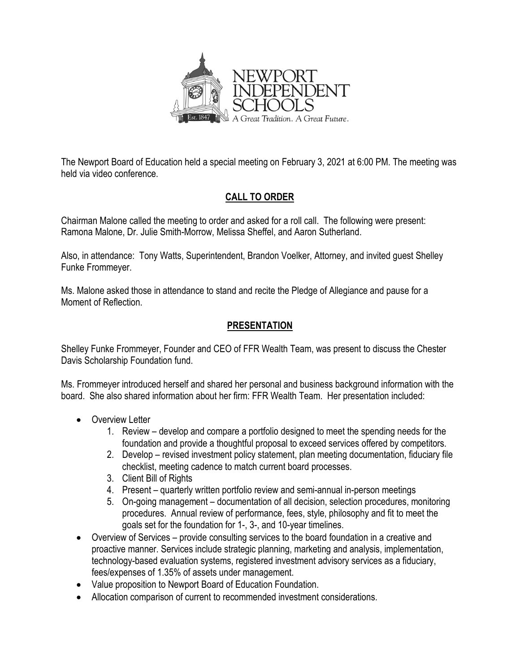

The Newport Board of Education held a special meeting on February 3, 2021 at 6:00 PM. The meeting was held via video conference.

## **CALL TO ORDER**

Chairman Malone called the meeting to order and asked for a roll call. The following were present: Ramona Malone, Dr. Julie Smith-Morrow, Melissa Sheffel, and Aaron Sutherland.

Also, in attendance: Tony Watts, Superintendent, Brandon Voelker, Attorney, and invited guest Shelley Funke Frommeyer.

Ms. Malone asked those in attendance to stand and recite the Pledge of Allegiance and pause for a Moment of Reflection.

## **PRESENTATION**

Shelley Funke Frommeyer, Founder and CEO of FFR Wealth Team, was present to discuss the Chester Davis Scholarship Foundation fund.

Ms. Frommeyer introduced herself and shared her personal and business background information with the board. She also shared information about her firm: FFR Wealth Team. Her presentation included:

- Overview Letter
	- 1. Review develop and compare a portfolio designed to meet the spending needs for the foundation and provide a thoughtful proposal to exceed services offered by competitors.
	- 2. Develop revised investment policy statement, plan meeting documentation, fiduciary file checklist, meeting cadence to match current board processes.
	- 3. Client Bill of Rights
	- 4. Present quarterly written portfolio review and semi-annual in-person meetings
	- 5. On-going management documentation of all decision, selection procedures, monitoring procedures. Annual review of performance, fees, style, philosophy and fit to meet the goals set for the foundation for 1-, 3-, and 10-year timelines.
- Overview of Services provide consulting services to the board foundation in a creative and proactive manner. Services include strategic planning, marketing and analysis, implementation, technology-based evaluation systems, registered investment advisory services as a fiduciary, fees/expenses of 1.35% of assets under management.
- Value proposition to Newport Board of Education Foundation.
- Allocation comparison of current to recommended investment considerations.